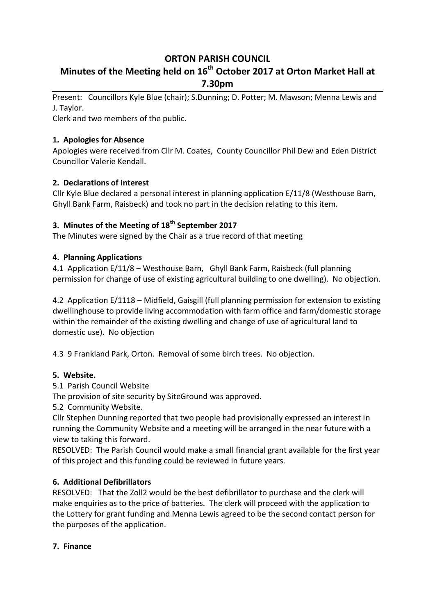# **ORTON PARISH COUNCIL**

# **Minutes of the Meeting held on 16th October 2017 at Orton Market Hall at 7.30pm**

Present: Councillors Kyle Blue (chair); S.Dunning; D. Potter; M. Mawson; Menna Lewis and J. Taylor.

Clerk and two members of the public.

# **1. Apologies for Absence**

Apologies were received from Cllr M. Coates, County Councillor Phil Dew and Eden District Councillor Valerie Kendall.

# **2. Declarations of Interest**

Cllr Kyle Blue declared a personal interest in planning application E/11/8 (Westhouse Barn, Ghyll Bank Farm, Raisbeck) and took no part in the decision relating to this item.

# **3. Minutes of the Meeting of 18th September 2017**

The Minutes were signed by the Chair as a true record of that meeting

### **4. Planning Applications**

4.1 Application E/11/8 – Westhouse Barn, Ghyll Bank Farm, Raisbeck (full planning permission for change of use of existing agricultural building to one dwelling). No objection.

4.2 Application E/1118 – Midfield, Gaisgill (full planning permission for extension to existing dwellinghouse to provide living accommodation with farm office and farm/domestic storage within the remainder of the existing dwelling and change of use of agricultural land to domestic use). No objection

4.3 9 Frankland Park, Orton. Removal of some birch trees. No objection.

### **5. Website.**

5.1 Parish Council Website

The provision of site security by SiteGround was approved.

5.2 Community Website.

Cllr Stephen Dunning reported that two people had provisionally expressed an interest in running the Community Website and a meeting will be arranged in the near future with a view to taking this forward.

RESOLVED: The Parish Council would make a small financial grant available for the first year of this project and this funding could be reviewed in future years.

# **6. Additional Defibrillators**

RESOLVED: That the Zoll2 would be the best defibrillator to purchase and the clerk will make enquiries as to the price of batteries. The clerk will proceed with the application to the Lottery for grant funding and Menna Lewis agreed to be the second contact person for the purposes of the application.

### **7. Finance**